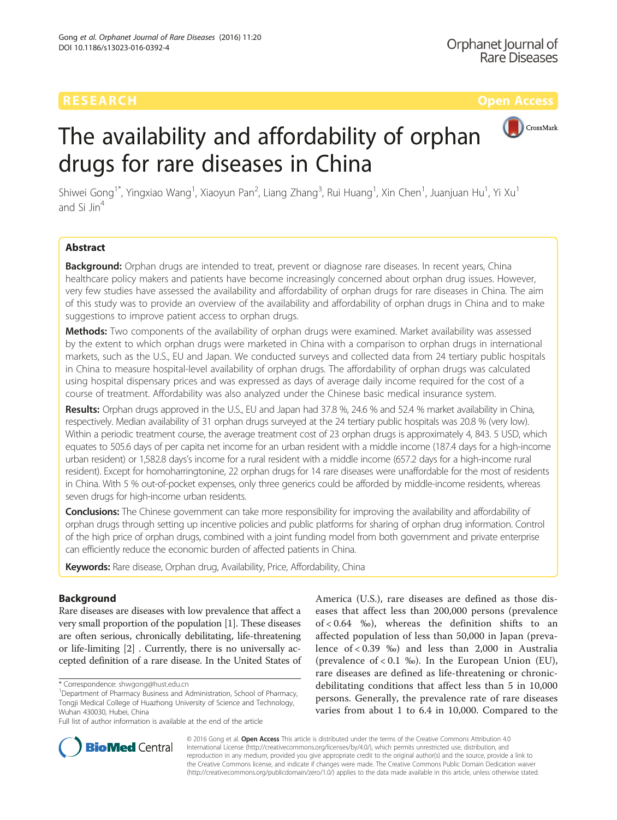# CrossMark

# The availability and affordability of orphan drugs for rare diseases in China

Shiwei Gong<sup>1\*</sup>, Yingxiao Wang<sup>1</sup>, Xiaoyun Pan<sup>2</sup>, Liang Zhang<sup>3</sup>, Rui Huang<sup>1</sup>, Xin Chen<sup>1</sup>, Juanjuan Hu<sup>1</sup>, Yi Xu<sup>1</sup> and Si Jin4

# Abstract

Background: Orphan drugs are intended to treat, prevent or diagnose rare diseases. In recent years, China healthcare policy makers and patients have become increasingly concerned about orphan drug issues. However, very few studies have assessed the availability and affordability of orphan drugs for rare diseases in China. The aim of this study was to provide an overview of the availability and affordability of orphan drugs in China and to make suggestions to improve patient access to orphan drugs.

Methods: Two components of the availability of orphan drugs were examined. Market availability was assessed by the extent to which orphan drugs were marketed in China with a comparison to orphan drugs in international markets, such as the U.S., EU and Japan. We conducted surveys and collected data from 24 tertiary public hospitals in China to measure hospital-level availability of orphan drugs. The affordability of orphan drugs was calculated using hospital dispensary prices and was expressed as days of average daily income required for the cost of a course of treatment. Affordability was also analyzed under the Chinese basic medical insurance system.

Results: Orphan drugs approved in the U.S., EU and Japan had 37.8 %, 24.6 % and 52.4 % market availability in China, respectively. Median availability of 31 orphan drugs surveyed at the 24 tertiary public hospitals was 20.8 % (very low). Within a periodic treatment course, the average treatment cost of 23 orphan drugs is approximately 4, 843. 5 USD, which equates to 505.6 days of per capita net income for an urban resident with a middle income (187.4 days for a high-income urban resident) or 1,582.8 days's income for a rural resident with a middle income (657.2 days for a high-income rural resident). Except for homoharringtonine, 22 orphan drugs for 14 rare diseases were unaffordable for the most of residents in China. With 5 % out-of-pocket expenses, only three generics could be afforded by middle-income residents, whereas seven drugs for high-income urban residents.

Conclusions: The Chinese government can take more responsibility for improving the availability and affordability of orphan drugs through setting up incentive policies and public platforms for sharing of orphan drug information. Control of the high price of orphan drugs, combined with a joint funding model from both government and private enterprise can efficiently reduce the economic burden of affected patients in China.

Keywords: Rare disease, Orphan drug, Availability, Price, Affordability, China

# Background

Rare diseases are diseases with low prevalence that affect a very small proportion of the population [[1\]](#page-10-0). These diseases are often serious, chronically debilitating, life-threatening or life-limiting [\[2](#page-10-0)] . Currently, there is no universally accepted definition of a rare disease. In the United States of America (U.S.), rare diseases are defined as those diseases that affect less than 200,000 persons (prevalence of < 0.64 ‰), whereas the definition shifts to an affected population of less than 50,000 in Japan (prevalence of < 0.39 ‰) and less than 2,000 in Australia (prevalence of  $< 0.1$  ‰). In the European Union (EU), rare diseases are defined as life-threatening or chronicdebilitating conditions that affect less than 5 in 10,000 persons. Generally, the prevalence rate of rare diseases varies from about 1 to 6.4 in 10,000. Compared to the



© 2016 Gong et al. Open Access This article is distributed under the terms of the Creative Commons Attribution 4.0 International License [\(http://creativecommons.org/licenses/by/4.0/](http://creativecommons.org/licenses/by/4.0/)), which permits unrestricted use, distribution, and reproduction in any medium, provided you give appropriate credit to the original author(s) and the source, provide a link to the Creative Commons license, and indicate if changes were made. The Creative Commons Public Domain Dedication waiver [\(http://creativecommons.org/publicdomain/zero/1.0/](http://creativecommons.org/publicdomain/zero/1.0/)) applies to the data made available in this article, unless otherwise stated.

<sup>\*</sup> Correspondence: [shwgong@hust.edu.cn](mailto:shwgong@hust.edu.cn) <sup>1</sup>

<sup>&</sup>lt;sup>1</sup>Department of Pharmacy Business and Administration, School of Pharmacy, Tongji Medical College of Huazhong University of Science and Technology, Wuhan 430030, Hubei, China

Full list of author information is available at the end of the article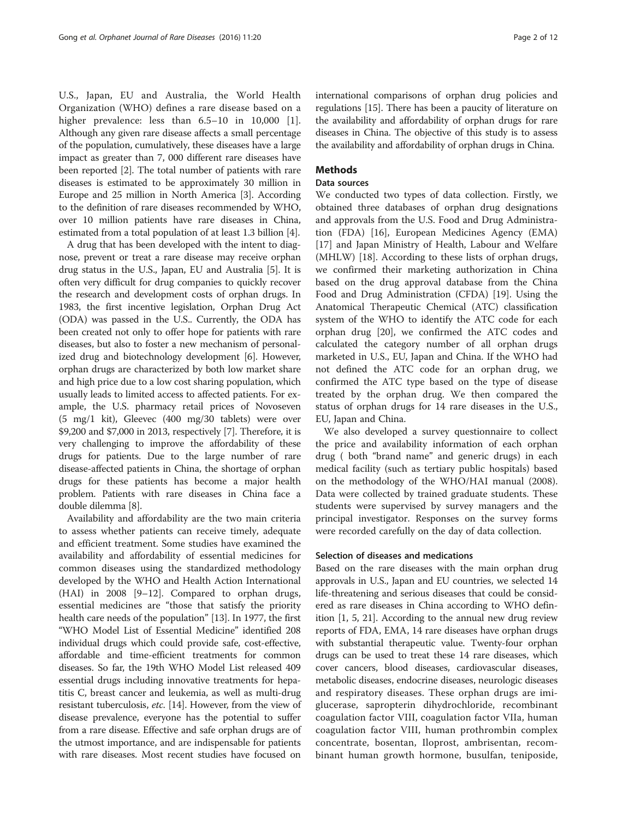U.S., Japan, EU and Australia, the World Health Organization (WHO) defines a rare disease based on a higher prevalence: less than 6.5–10 in 10,000 [\[1](#page-10-0)]. Although any given rare disease affects a small percentage of the population, cumulatively, these diseases have a large impact as greater than 7, 000 different rare diseases have been reported [\[2](#page-10-0)]. The total number of patients with rare diseases is estimated to be approximately 30 million in Europe and 25 million in North America [\[3\]](#page-10-0). According to the definition of rare diseases recommended by WHO, over 10 million patients have rare diseases in China, estimated from a total population of at least 1.3 billion [[4](#page-10-0)].

A drug that has been developed with the intent to diagnose, prevent or treat a rare disease may receive orphan drug status in the U.S., Japan, EU and Australia [[5](#page-10-0)]. It is often very difficult for drug companies to quickly recover the research and development costs of orphan drugs. In 1983, the first incentive legislation, Orphan Drug Act (ODA) was passed in the U.S.. Currently, the ODA has been created not only to offer hope for patients with rare diseases, but also to foster a new mechanism of personalized drug and biotechnology development [[6\]](#page-10-0). However, orphan drugs are characterized by both low market share and high price due to a low cost sharing population, which usually leads to limited access to affected patients. For example, the U.S. pharmacy retail prices of Novoseven (5 mg/1 kit), Gleevec (400 mg/30 tablets) were over \$9,200 and \$7,000 in 2013, respectively [\[7\]](#page-10-0). Therefore, it is very challenging to improve the affordability of these drugs for patients. Due to the large number of rare disease-affected patients in China, the shortage of orphan drugs for these patients has become a major health problem. Patients with rare diseases in China face a double dilemma [\[8](#page-10-0)].

Availability and affordability are the two main criteria to assess whether patients can receive timely, adequate and efficient treatment. Some studies have examined the availability and affordability of essential medicines for common diseases using the standardized methodology developed by the WHO and Health Action International (HAI) in 2008 [\[9](#page-10-0)–[12\]](#page-10-0). Compared to orphan drugs, essential medicines are "those that satisfy the priority health care needs of the population" [[13\]](#page-10-0). In 1977, the first "WHO Model List of Essential Medicine" identified 208 individual drugs which could provide safe, cost-effective, affordable and time-efficient treatments for common diseases. So far, the 19th WHO Model List released 409 essential drugs including innovative treatments for hepatitis C, breast cancer and leukemia, as well as multi-drug resistant tuberculosis, etc. [[14](#page-10-0)]. However, from the view of disease prevalence, everyone has the potential to suffer from a rare disease. Effective and safe orphan drugs are of the utmost importance, and are indispensable for patients with rare diseases. Most recent studies have focused on international comparisons of orphan drug policies and regulations [\[15\]](#page--1-0). There has been a paucity of literature on the availability and affordability of orphan drugs for rare diseases in China. The objective of this study is to assess the availability and affordability of orphan drugs in China.

### **Methods**

#### Data sources

We conducted two types of data collection. Firstly, we obtained three databases of orphan drug designations and approvals from the U.S. Food and Drug Administration (FDA) [\[16\]](#page--1-0), European Medicines Agency (EMA) [[17\]](#page--1-0) and Japan Ministry of Health, Labour and Welfare (MHLW) [[18\]](#page--1-0). According to these lists of orphan drugs, we confirmed their marketing authorization in China based on the drug approval database from the China Food and Drug Administration (CFDA) [[19\]](#page--1-0). Using the Anatomical Therapeutic Chemical (ATC) classification system of the WHO to identify the ATC code for each orphan drug [[20\]](#page--1-0), we confirmed the ATC codes and calculated the category number of all orphan drugs marketed in U.S., EU, Japan and China. If the WHO had not defined the ATC code for an orphan drug, we confirmed the ATC type based on the type of disease treated by the orphan drug. We then compared the status of orphan drugs for 14 rare diseases in the U.S., EU, Japan and China.

We also developed a survey questionnaire to collect the price and availability information of each orphan drug ( both "brand name" and generic drugs) in each medical facility (such as tertiary public hospitals) based on the methodology of the WHO/HAI manual (2008). Data were collected by trained graduate students. These students were supervised by survey managers and the principal investigator. Responses on the survey forms were recorded carefully on the day of data collection.

#### Selection of diseases and medications

Based on the rare diseases with the main orphan drug approvals in U.S., Japan and EU countries, we selected 14 life-threatening and serious diseases that could be considered as rare diseases in China according to WHO definition [\[1](#page-10-0), [5,](#page-10-0) [21\]](#page--1-0). According to the annual new drug review reports of FDA, EMA, 14 rare diseases have orphan drugs with substantial therapeutic value. Twenty-four orphan drugs can be used to treat these 14 rare diseases, which cover cancers, blood diseases, cardiovascular diseases, metabolic diseases, endocrine diseases, neurologic diseases and respiratory diseases. These orphan drugs are imiglucerase, sapropterin dihydrochloride, recombinant coagulation factor VIII, coagulation factor VIIa, human coagulation factor VIII, human prothrombin complex concentrate, bosentan, Iloprost, ambrisentan, recombinant human growth hormone, busulfan, teniposide,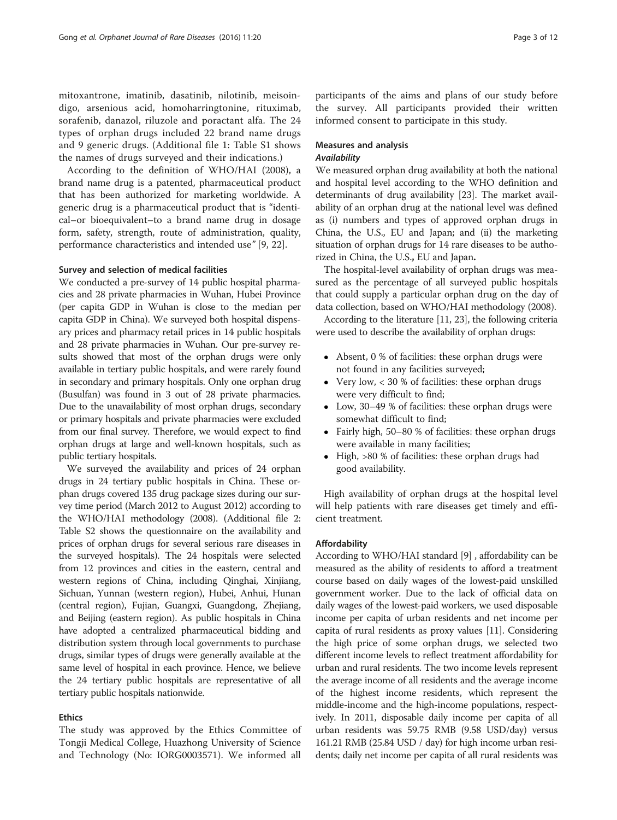mitoxantrone, imatinib, dasatinib, nilotinib, meisoindigo, arsenious acid, homoharringtonine, rituximab, sorafenib, danazol, riluzole and poractant alfa. The 24 types of orphan drugs included 22 brand name drugs and 9 generic drugs. (Additional file [1:](#page-10-0) Table S1 shows the names of drugs surveyed and their indications.)

According to the definition of WHO/HAI (2008), a brand name drug is a patented, pharmaceutical product that has been authorized for marketing worldwide. A generic drug is a pharmaceutical product that is "identical–or bioequivalent–to a brand name drug in dosage form, safety, strength, route of administration, quality, performance characteristics and intended use" [\[9](#page-10-0), [22](#page--1-0)].

#### Survey and selection of medical facilities

We conducted a pre-survey of 14 public hospital pharmacies and 28 private pharmacies in Wuhan, Hubei Province (per capita GDP in Wuhan is close to the median per capita GDP in China). We surveyed both hospital dispensary prices and pharmacy retail prices in 14 public hospitals and 28 private pharmacies in Wuhan. Our pre-survey results showed that most of the orphan drugs were only available in tertiary public hospitals, and were rarely found in secondary and primary hospitals. Only one orphan drug (Busulfan) was found in 3 out of 28 private pharmacies. Due to the unavailability of most orphan drugs, secondary or primary hospitals and private pharmacies were excluded from our final survey. Therefore, we would expect to find orphan drugs at large and well-known hospitals, such as public tertiary hospitals.

We surveyed the availability and prices of 24 orphan drugs in 24 tertiary public hospitals in China. These orphan drugs covered 135 drug package sizes during our survey time period (March 2012 to August 2012) according to the WHO/HAI methodology (2008). (Additional file [2](#page-10-0): Table S2 shows the questionnaire on the availability and prices of orphan drugs for several serious rare diseases in the surveyed hospitals). The 24 hospitals were selected from 12 provinces and cities in the eastern, central and western regions of China, including Qinghai, Xinjiang, Sichuan, Yunnan (western region), Hubei, Anhui, Hunan (central region), Fujian, Guangxi, Guangdong, Zhejiang, and Beijing (eastern region). As public hospitals in China have adopted a centralized pharmaceutical bidding and distribution system through local governments to purchase drugs, similar types of drugs were generally available at the same level of hospital in each province. Hence, we believe the 24 tertiary public hospitals are representative of all tertiary public hospitals nationwide.

#### Ethics

The study was approved by the Ethics Committee of Tongji Medical College, Huazhong University of Science and Technology (No: IORG0003571). We informed all

participants of the aims and plans of our study before the survey. All participants provided their written informed consent to participate in this study.

## Measures and analysis **Availability**

We measured orphan drug availability at both the national and hospital level according to the WHO definition and determinants of drug availability [[23](#page--1-0)]. The market availability of an orphan drug at the national level was defined as (i) numbers and types of approved orphan drugs in China, the U.S., EU and Japan; and (ii) the marketing situation of orphan drugs for 14 rare diseases to be authorized in China, the U.S., EU and Japan.

The hospital-level availability of orphan drugs was measured as the percentage of all surveyed public hospitals that could supply a particular orphan drug on the day of data collection, based on WHO/HAI methodology (2008).

According to the literature [\[11,](#page-10-0) [23](#page--1-0)], the following criteria were used to describe the availability of orphan drugs:

- Absent, 0 % of facilities: these orphan drugs were not found in any facilities surveyed;
- Very low, < 30 % of facilities: these orphan drugs were very difficult to find;
- Low, 30–49 % of facilities: these orphan drugs were somewhat difficult to find;
- Fairly high, 50–80 % of facilities: these orphan drugs were available in many facilities;
- High, >80 % of facilities: these orphan drugs had good availability.

High availability of orphan drugs at the hospital level will help patients with rare diseases get timely and efficient treatment.

#### Affordability

According to WHO/HAI standard [[9](#page-10-0)] , affordability can be measured as the ability of residents to afford a treatment course based on daily wages of the lowest-paid unskilled government worker. Due to the lack of official data on daily wages of the lowest-paid workers, we used disposable income per capita of urban residents and net income per capita of rural residents as proxy values [\[11\]](#page-10-0). Considering the high price of some orphan drugs, we selected two different income levels to reflect treatment affordability for urban and rural residents. The two income levels represent the average income of all residents and the average income of the highest income residents, which represent the middle-income and the high-income populations, respectively. In 2011, disposable daily income per capita of all urban residents was 59.75 RMB (9.58 USD/day) versus 161.21 RMB (25.84 USD / day) for high income urban residents; daily net income per capita of all rural residents was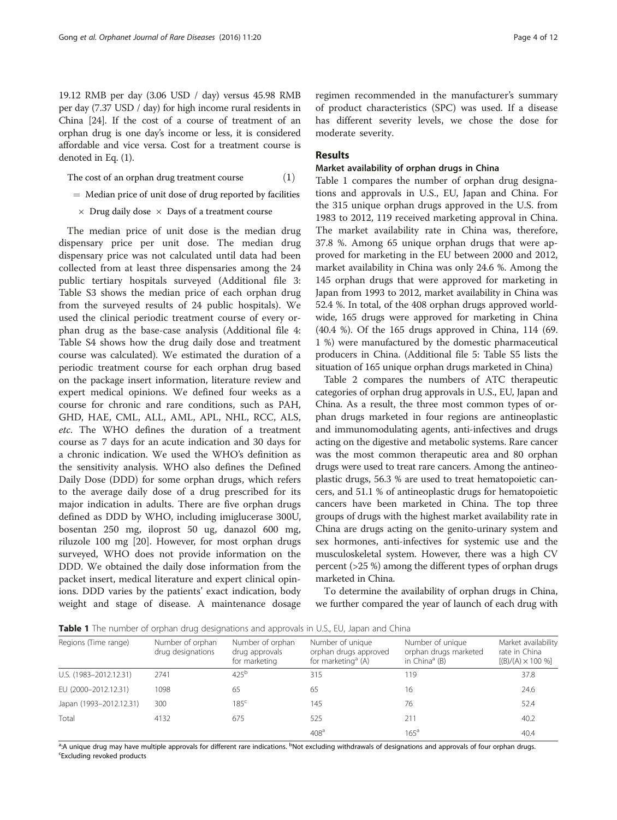19.12 RMB per day (3.06 USD / day) versus 45.98 RMB per day (7.37 USD / day) for high income rural residents in China [\[24](#page--1-0)]. If the cost of a course of treatment of an orphan drug is one day's income or less, it is considered affordable and vice versa. Cost for a treatment course is denoted in Eq. (1).

The cost of an orphan drug treatment course  $(1)$ 

- $=$  Median price of unit dose of drug reported by facilities
- $\times$  Drug daily dose  $\times$  Days of a treatment course

The median price of unit dose is the median drug dispensary price per unit dose. The median drug dispensary price was not calculated until data had been collected from at least three dispensaries among the 24 public tertiary hospitals surveyed (Additional file [3](#page-10-0): Table S3 shows the median price of each orphan drug from the surveyed results of 24 public hospitals). We used the clinical periodic treatment course of every orphan drug as the base-case analysis (Additional file [4](#page-10-0): Table S4 shows how the drug daily dose and treatment course was calculated). We estimated the duration of a periodic treatment course for each orphan drug based on the package insert information, literature review and expert medical opinions. We defined four weeks as a course for chronic and rare conditions, such as PAH, GHD, HAE, CML, ALL, AML, APL, NHL, RCC, ALS, etc. The WHO defines the duration of a treatment course as 7 days for an acute indication and 30 days for a chronic indication. We used the WHO's definition as the sensitivity analysis. WHO also defines the Defined Daily Dose (DDD) for some orphan drugs, which refers to the average daily dose of a drug prescribed for its major indication in adults. There are five orphan drugs defined as DDD by WHO, including imiglucerase 300U, bosentan 250 mg, iloprost 50 ug, danazol 600 mg, riluzole 100 mg [\[20](#page--1-0)]. However, for most orphan drugs surveyed, WHO does not provide information on the DDD. We obtained the daily dose information from the packet insert, medical literature and expert clinical opinions. DDD varies by the patients' exact indication, body weight and stage of disease. A maintenance dosage

#### Results

#### Market availability of orphan drugs in China

Table 1 compares the number of orphan drug designations and approvals in U.S., EU, Japan and China. For the 315 unique orphan drugs approved in the U.S. from 1983 to 2012, 119 received marketing approval in China. The market availability rate in China was, therefore, 37.8 %. Among 65 unique orphan drugs that were approved for marketing in the EU between 2000 and 2012, market availability in China was only 24.6 %. Among the 145 orphan drugs that were approved for marketing in Japan from 1993 to 2012, market availability in China was 52.4 %. In total, of the 408 orphan drugs approved worldwide, 165 drugs were approved for marketing in China (40.4 %). Of the 165 drugs approved in China, 114 (69. 1 %) were manufactured by the domestic pharmaceutical producers in China. (Additional file [5:](#page-10-0) Table S5 lists the situation of 165 unique orphan drugs marketed in China)

Table [2](#page-4-0) compares the numbers of ATC therapeutic categories of orphan drug approvals in U.S., EU, Japan and China. As a result, the three most common types of orphan drugs marketed in four regions are antineoplastic and immunomodulating agents, anti-infectives and drugs acting on the digestive and metabolic systems. Rare cancer was the most common therapeutic area and 80 orphan drugs were used to treat rare cancers. Among the antineoplastic drugs, 56.3 % are used to treat hematopoietic cancers, and 51.1 % of antineoplastic drugs for hematopoietic cancers have been marketed in China. The top three groups of drugs with the highest market availability rate in China are drugs acting on the genito-urinary system and sex hormones, anti-infectives for systemic use and the musculoskeletal system. However, there was a high CV percent (>25 %) among the different types of orphan drugs marketed in China.

To determine the availability of orphan drugs in China, we further compared the year of launch of each drug with

Table 1 The number of orphan drug designations and approvals in U.S., EU, Japan and China

| Regions (Time range)    | Number of orphan<br>drug designations | Number of orphan<br>drug approvals<br>for marketing | Number of unique<br>orphan drugs approved<br>for marketing <sup>a</sup> (A) | Number of unique<br>orphan drugs marketed<br>in China <sup>a</sup> (B) | Market availability<br>rate in China<br>$[(B)/(A) \times 100\%]$ |
|-------------------------|---------------------------------------|-----------------------------------------------------|-----------------------------------------------------------------------------|------------------------------------------------------------------------|------------------------------------------------------------------|
| U.S. (1983-2012.12.31)  | 2741                                  | 425 <sup>b</sup>                                    | 315                                                                         | 119                                                                    | 37.8                                                             |
| EU (2000-2012.12.31)    | 1098                                  | 65                                                  | 65                                                                          | 16                                                                     | 24.6                                                             |
| Japan (1993-2012.12.31) | 300                                   | 185 <sup>c</sup>                                    | 145                                                                         | 76                                                                     | 52.4                                                             |
| Total                   | 4132                                  | 675                                                 | 525                                                                         | 21'                                                                    | 40.2                                                             |
|                         |                                       |                                                     | 408 <sup>a</sup>                                                            | $165^{\circ}$                                                          | 40.4                                                             |

<sup>a</sup>.A unique drug may have multiple approvals for different rare indications. <sup>b</sup>Not excluding withdrawals of designations and approvals of four orphan drugs.<br><sup>CE</sup>Xcluding revoked products Excluding revoked products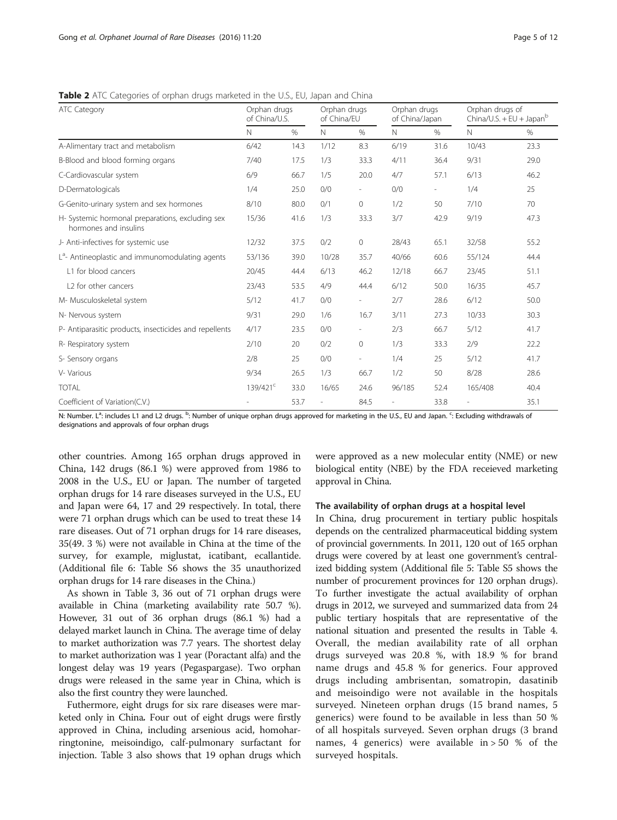| <b>ATC Category</b>                                                       | Orphan drugs<br>of China/U.S. |      | Orphan drugs<br>of China/EU |                          | Orphan drugs<br>of China/Japan |      | Orphan drugs of<br>China/U.S. + $EU$ + Japan $b$ |      |
|---------------------------------------------------------------------------|-------------------------------|------|-----------------------------|--------------------------|--------------------------------|------|--------------------------------------------------|------|
|                                                                           | $\mathbb N$                   | $\%$ | N                           | $\%$                     | N                              | %    | $\mathbb N$                                      | $\%$ |
| A-Alimentary tract and metabolism                                         | 6/42                          | 14.3 | 1/12                        | 8.3                      | 6/19                           | 31.6 | 10/43                                            | 23.3 |
| B-Blood and blood forming organs                                          | 7/40                          | 17.5 | 1/3                         | 33.3                     | 4/11                           | 36.4 | 9/31                                             | 29.0 |
| C-Cardiovascular system                                                   | 6/9                           | 66.7 | 1/5                         | 20.0                     | 4/7                            | 57.1 | 6/13                                             | 46.2 |
| D-Dermatologicals                                                         | 1/4                           | 25.0 | 0/0                         |                          | 0/0                            |      | 1/4                                              | 25   |
| G-Genito-urinary system and sex hormones                                  | 8/10                          | 80.0 | 0/1                         | 0                        | 1/2                            | 50   | 7/10                                             | 70   |
| H- Systemic hormonal preparations, excluding sex<br>hormones and insulins | 15/36                         | 41.6 | 1/3                         | 33.3                     | 3/7                            | 42.9 | 9/19                                             | 47.3 |
| J- Anti-infectives for systemic use                                       | 12/32                         | 37.5 | 0/2                         | 0                        | 28/43                          | 65.1 | 32/58                                            | 55.2 |
| L <sup>a</sup> - Antineoplastic and immunomodulating agents               | 53/136                        | 39.0 | 10/28                       | 35.7                     | 40/66                          | 60.6 | 55/124                                           | 44.4 |
| L1 for blood cancers                                                      | 20/45                         | 44.4 | 6/13                        | 46.2                     | 12/18                          | 66.7 | 23/45                                            | 51.1 |
| L <sub>2</sub> for other cancers                                          | 23/43                         | 53.5 | 4/9                         | 44.4                     | 6/12                           | 50.0 | 16/35                                            | 45.7 |
| M- Musculoskeletal system                                                 | 5/12                          | 41.7 | 0/0                         |                          | 2/7                            | 28.6 | 6/12                                             | 50.0 |
| N- Nervous system                                                         | 9/31                          | 29.0 | 1/6                         | 16.7                     | 3/11                           | 27.3 | 10/33                                            | 30.3 |
| P- Antiparasitic products, insecticides and repellents                    | 4/17                          | 23.5 | 0/0                         | $\overline{\phantom{a}}$ | 2/3                            | 66.7 | 5/12                                             | 41.7 |
| R- Respiratory system                                                     | 2/10                          | 20   | 0/2                         | $\circ$                  | 1/3                            | 33.3 | 2/9                                              | 22.2 |
| S- Sensory organs                                                         | 2/8                           | 25   | 0/0                         |                          | 1/4                            | 25   | 5/12                                             | 41.7 |
| V- Various                                                                | 9/34                          | 26.5 | 1/3                         | 66.7                     | 1/2                            | 50   | 8/28                                             | 28.6 |
| <b>TOTAL</b>                                                              | $139/421^c$                   | 33.0 | 16/65                       | 24.6                     | 96/185                         | 52.4 | 165/408                                          | 40.4 |
| Coefficient of Variation(C.V.)                                            |                               | 53.7 |                             | 84.5                     |                                | 33.8 |                                                  | 35.1 |

<span id="page-4-0"></span>Table 2 ATC Categories of orphan drugs marketed in the U.S., EU, Japan and China

N: Number. L<sup>a</sup>: includes L1 and L2 drugs. <sup>b</sup>: Number of unique orphan drugs approved for marketing in the U.S., EU and Japan. <sup>c</sup>: Excluding withdrawals of designations and approvals of four orphan drugs

other countries. Among 165 orphan drugs approved in China, 142 drugs (86.1 %) were approved from 1986 to 2008 in the U.S., EU or Japan. The number of targeted orphan drugs for 14 rare diseases surveyed in the U.S., EU and Japan were 64, 17 and 29 respectively. In total, there were 71 orphan drugs which can be used to treat these 14 rare diseases. Out of 71 orphan drugs for 14 rare diseases, 35(49. 3 %) were not available in China at the time of the survey, for example, miglustat, icatibant, ecallantide. (Additional file [6](#page-10-0): Table S6 shows the 35 unauthorized orphan drugs for 14 rare diseases in the China.)

As shown in Table [3](#page-5-0), 36 out of 71 orphan drugs were available in China (marketing availability rate 50.7 %). However, 31 out of 36 orphan drugs (86.1 %) had a delayed market launch in China. The average time of delay to market authorization was 7.7 years. The shortest delay to market authorization was 1 year (Poractant alfa) and the longest delay was 19 years (Pegaspargase). Two orphan drugs were released in the same year in China, which is also the first country they were launched.

Futhermore, eight drugs for six rare diseases were marketed only in China. Four out of eight drugs were firstly approved in China, including arsenious acid, homoharringtonine, meisoindigo, calf-pulmonary surfactant for injection. Table [3](#page-5-0) also shows that 19 ophan drugs which were approved as a new molecular entity (NME) or new biological entity (NBE) by the FDA receieved marketing approval in China.

#### The availability of orphan drugs at a hospital level

In China, drug procurement in tertiary public hospitals depends on the centralized pharmaceutical bidding system of provincial governments. In 2011, 120 out of 165 orphan drugs were covered by at least one government's centralized bidding system (Additional file [5](#page-10-0): Table S5 shows the number of procurement provinces for 120 orphan drugs). To further investigate the actual availability of orphan drugs in 2012, we surveyed and summarized data from 24 public tertiary hospitals that are representative of the national situation and presented the results in Table [4](#page-6-0). Overall, the median availability rate of all orphan drugs surveyed was 20.8 %, with 18.9 % for brand name drugs and 45.8 % for generics. Four approved drugs including ambrisentan, somatropin, dasatinib and meisoindigo were not available in the hospitals surveyed. Nineteen orphan drugs (15 brand names, 5 generics) were found to be available in less than 50 % of all hospitals surveyed. Seven orphan drugs (3 brand names, 4 generics) were available in > 50 % of the surveyed hospitals.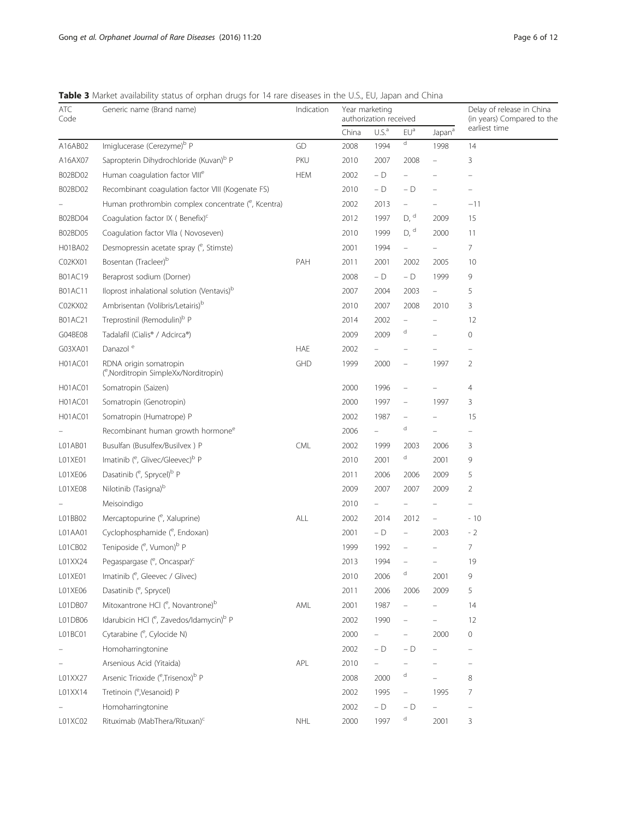<span id="page-5-0"></span>Table 3 Market availability status of orphan drugs for 14 rare diseases in the U.S., EU, Japan and China

| ATC<br>Code | Generic name (Brand name)                                      | Indication                  |       | Year marketing<br>authorization received |                                   | Delay of release in China<br>(in years) Compared to the |                          |
|-------------|----------------------------------------------------------------|-----------------------------|-------|------------------------------------------|-----------------------------------|---------------------------------------------------------|--------------------------|
|             |                                                                |                             | China | U.S. <sup>a</sup>                        | EU <sup>a</sup>                   | Japan <sup>a</sup>                                      | earliest time            |
| A16AB02     | Imiglucerase (Cerezyme) <sup>b</sup> P                         | GD                          | 2008  | 1994                                     | d                                 | 1998                                                    | 14                       |
| A16AX07     | Sapropterin Dihydrochloride (Kuvan) <sup>b</sup> P             | PKU                         | 2010  | 2007                                     | 2008                              | $\qquad \qquad -$                                       | 3                        |
| B02BD02     | Human coagulation factor VIII <sup>e</sup>                     | <b>HEM</b>                  | 2002  | $- D$                                    | $\qquad \qquad -$                 |                                                         | $\overline{\phantom{0}}$ |
| B02BD02     | Recombinant coagulation factor VIII (Kogenate FS)              |                             | 2010  | $- D$                                    | $- D$                             |                                                         | $\overline{\phantom{0}}$ |
|             | Human prothrombin complex concentrate (e, Kcentra)             |                             | 2002  | 2013                                     | ÷                                 |                                                         | $-11$                    |
| B02BD04     | Coagulation factor IX (Benefix) <sup>c</sup>                   |                             | 2012  | 1997                                     | D, d                              | 2009                                                    | 15                       |
| B02BD05     | Coagulation factor VIIa (Novoseven)                            |                             | 2010  | 1999                                     | D, d                              | 2000                                                    | 11                       |
| H01BA02     | Desmopressin acetate spray ( <sup>e</sup> , Stimste)           |                             | 2001  | 1994                                     | -                                 |                                                         | 7                        |
| C02KX01     | Bosentan (Tracleer) <sup>b</sup>                               | PAH                         | 2011  | 2001                                     | 2002                              | 2005                                                    | 10                       |
| B01AC19     | Beraprost sodium (Dorner)                                      |                             | 2008  | $ \mathsf{D}$                            | $- D$                             | 1999                                                    | 9                        |
| B01AC11     | Iloprost inhalational solution (Ventavis) <sup>b</sup>         |                             | 2007  | 2004                                     | 2003                              | ÷                                                       | 5                        |
| C02KX02     | Ambrisentan (Volibris/Letairis) <sup>b</sup>                   |                             | 2010  | 2007                                     | 2008                              | 2010                                                    | 3                        |
| B01AC21     | Treprostinil (Remodulin) <sup>b</sup> P                        |                             | 2014  | 2002                                     | $\qquad \qquad -$                 |                                                         | 12                       |
| G04BE08     | Tadalafil (Cialis® / Adcirca®)                                 |                             | 2009  | 2009                                     | d                                 |                                                         | $\mathbf 0$              |
| G03XA01     | Danazol <sup>e</sup>                                           | <b>HAE</b>                  | 2002  | $\qquad \qquad -$                        | $\overline{\phantom{0}}$          |                                                         | $\qquad \qquad -$        |
| H01AC01     | RDNA origin somatropin<br>(e,Norditropin SimpleXx/Norditropin) | <b>GHD</b>                  | 1999  | 2000                                     | $\qquad \qquad -$                 | 1997                                                    | $\overline{2}$           |
| H01AC01     | Somatropin (Saizen)                                            |                             | 2000  | 1996                                     | ÷                                 |                                                         | $\overline{4}$           |
| H01AC01     | Somatropin (Genotropin)                                        |                             | 2000  | 1997                                     | $\qquad \qquad -$                 | 1997                                                    | 3                        |
| H01AC01     | Somatropin (Humatrope) P                                       |                             | 2002  | 1987                                     | $\qquad \qquad -$                 |                                                         | 15                       |
|             | Recombinant human growth hormone <sup>e</sup>                  |                             | 2006  | $\overline{a}$                           | d                                 |                                                         | $\overline{\phantom{0}}$ |
| L01AB01     | Busulfan (Busulfex/Busilvex) P                                 | CML                         | 2002  | 1999                                     | 2003                              | 2006                                                    | 3                        |
| LO1XE01     | Imatinib ( <sup>e</sup> , Glivec/Gleevec) <sup>b</sup> P       |                             | 2010  | 2001                                     | d                                 | 2001                                                    | 9                        |
| L01XE06     | Dasatinib (e, Sprycel) <sup>b</sup> P                          |                             | 2011  | 2006                                     | 2006                              | 2009                                                    | 5                        |
| L01XE08     | Nilotinib (Tasigna) <sup>b</sup>                               |                             | 2009  | 2007                                     | 2007                              | 2009                                                    | 2                        |
|             | Meisoindigo                                                    |                             | 2010  | $\qquad \qquad =$                        |                                   |                                                         | $\overline{\phantom{0}}$ |
| L01BB02     | Mercaptopurine (e, Xaluprine)                                  | ALL                         | 2002  | 2014                                     | 2012                              | ÷                                                       | $-10$                    |
| L01AA01     | Cyclophosphamide (e, Endoxan)                                  |                             | 2001  | – D                                      |                                   | 2003                                                    | $-2$                     |
| L01CB02     | Teniposide ( <sup>e</sup> , Vumon) <sup>b</sup> P              |                             | 1999  | 1992                                     |                                   |                                                         | 7                        |
| L01XX24     | Pegaspargase (e, Oncaspar) <sup>c</sup>                        |                             | 2013  | 1994                                     |                                   |                                                         | 19                       |
| LO1XE01     | Imatinib ( <sup>e</sup> , Gleevec / Glivec)                    |                             | 2010  | 2006                                     | d                                 | 2001                                                    | 9                        |
| L01XE06     | Dasatinib ( <sup>e</sup> , Sprycel)                            |                             | 2011  | 2006                                     | 2006                              | 2009                                                    | 5                        |
| L01DB07     | Mitoxantrone HCl (e, Novantrone) <sup>b</sup>                  | AML                         | 2001  | 1987                                     | -                                 | $\overline{\phantom{0}}$                                | 14                       |
| L01DB06     | Idarubicin HCl (e, Zavedos/Idamycin) <sup>b</sup> P            |                             | 2002  | 1990                                     | -                                 |                                                         | 12                       |
| L01BC01     | Cytarabine ( <sup>e</sup> , Cylocide N)                        |                             | 2000  | $\equiv$                                 | $\hspace{1.0cm} = \hspace{1.0cm}$ | 2000                                                    | $\mathbf 0$              |
|             | Homoharringtonine                                              |                             | 2002  | $ \mathsf{D}$                            | $- D$                             |                                                         |                          |
|             | Arsenious Acid (Yitaida)                                       | APL                         | 2010  | $\equiv$                                 | -                                 |                                                         | $\overline{\phantom{m}}$ |
| L01XX27     | Arsenic Trioxide ( <sup>e</sup> , Trisenox) <sup>b</sup> P     |                             | 2008  | 2000                                     | d                                 |                                                         | 8                        |
| L01XX14     | Tretinoin ( <sup>e</sup> , Vesanoid) P                         |                             | 2002  | 1995                                     | $\overline{\phantom{0}}$          | 1995                                                    | 7                        |
|             | Homoharringtonine                                              |                             | 2002  | $- D$                                    | $- D$                             |                                                         |                          |
| L01XC02     | Rituximab (MabThera/Rituxan) <sup>c</sup>                      | $\ensuremath{\mathsf{NHL}}$ | 2000  | 1997                                     | d                                 | 2001                                                    | 3                        |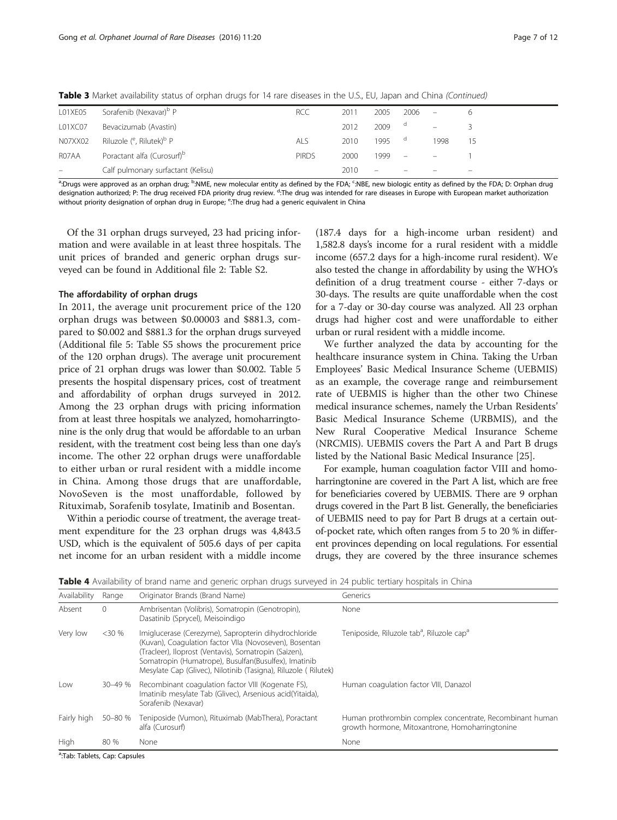| L01XE05                  | Sorafenib (Nexavar) <sup>b</sup> P                | <b>RCC</b>   | 2011 | 2005 | 2006                     | $\hspace{0.1mm}-\hspace{0.1mm}$ |    |  |
|--------------------------|---------------------------------------------------|--------------|------|------|--------------------------|---------------------------------|----|--|
| L01XC07                  | Bevacizumab (Avastin)                             |              | 2012 | 2009 | d                        | $\equiv$                        |    |  |
| N07XX02                  | Riluzole ( <sup>e</sup> , Rilutek) <sup>b</sup> P | AI S         | 2010 | 1995 | d                        | 1998                            | 15 |  |
| R07AA                    | Poractant alfa (Curosurf) <sup>b</sup>            | <b>PIRDS</b> | 2000 | 1999 | $\overline{\phantom{a}}$ |                                 |    |  |
| $\overline{\phantom{m}}$ | Calf pulmonary surfactant (Kelisu)                |              | 2010 | -    | $\equiv$                 |                                 | -  |  |

<span id="page-6-0"></span>Table 3 Market availability status of orphan drugs for 14 rare diseases in the U.S., EU, Japan and China (Continued)

<sup>a</sup>:Drugs were approved as an orphan drug; <sup>b</sup>:NME, new molecular entity as defined by the FDA; <sup>c</sup>:NBE, new biologic entity as defined by the FDA; D: Orphan drug designation authorized; P: The drug received FDA priority drug review. <sup>d</sup>:The drug was intended for rare diseases in Europe with European market authorization without priority designation of orphan drug in Europe; <sup>e</sup>:The drug had a generic equivalent in China

Of the 31 orphan drugs surveyed, 23 had pricing information and were available in at least three hospitals. The unit prices of branded and generic orphan drugs surveyed can be found in Additional file [2](#page-10-0): Table S2.

#### The affordability of orphan drugs

In 2011, the average unit procurement price of the 120 orphan drugs was between \$0.00003 and \$881.3, compared to \$0.002 and \$881.3 for the orphan drugs surveyed (Additional file [5](#page-10-0): Table S5 shows the procurement price of the 120 orphan drugs). The average unit procurement price of 21 orphan drugs was lower than \$0.002. Table [5](#page-7-0) presents the hospital dispensary prices, cost of treatment and affordability of orphan drugs surveyed in 2012. Among the 23 orphan drugs with pricing information from at least three hospitals we analyzed, homoharringtonine is the only drug that would be affordable to an urban resident, with the treatment cost being less than one day's income. The other 22 orphan drugs were unaffordable to either urban or rural resident with a middle income in China. Among those drugs that are unaffordable, NovoSeven is the most unaffordable, followed by Rituximab, Sorafenib tosylate, Imatinib and Bosentan.

Within a periodic course of treatment, the average treatment expenditure for the 23 orphan drugs was 4,843.5 USD, which is the equivalent of 505.6 days of per capita net income for an urban resident with a middle income

(187.4 days for a high-income urban resident) and 1,582.8 days's income for a rural resident with a middle income (657.2 days for a high-income rural resident). We also tested the change in affordability by using the WHO's definition of a drug treatment course - either 7-days or 30-days. The results are quite unaffordable when the cost for a 7-day or 30-day course was analyzed. All 23 orphan drugs had higher cost and were unaffordable to either urban or rural resident with a middle income.

We further analyzed the data by accounting for the healthcare insurance system in China. Taking the Urban Employees' Basic Medical Insurance Scheme (UEBMIS) as an example, the coverage range and reimbursement rate of UEBMIS is higher than the other two Chinese medical insurance schemes, namely the Urban Residents' Basic Medical Insurance Scheme (URBMIS), and the New Rural Cooperative Medical Insurance Scheme (NRCMIS). UEBMIS covers the Part A and Part B drugs listed by the National Basic Medical Insurance [[25](#page--1-0)].

For example, human coagulation factor VIII and homoharringtonine are covered in the Part A list, which are free for beneficiaries covered by UEBMIS. There are 9 orphan drugs covered in the Part B list. Generally, the beneficiaries of UEBMIS need to pay for Part B drugs at a certain outof-pocket rate, which often ranges from 5 to 20 % in different provinces depending on local regulations. For essential drugs, they are covered by the three insurance schemes

Table 4 Availability of brand name and generic orphan drugs surveyed in 24 public tertiary hospitals in China

| Availability | Range   | Originator Brands (Brand Name)                                                                                                                                                                                                                                                                    | Generics                                                                                                    |
|--------------|---------|---------------------------------------------------------------------------------------------------------------------------------------------------------------------------------------------------------------------------------------------------------------------------------------------------|-------------------------------------------------------------------------------------------------------------|
| Absent       | 0       | Ambrisentan (Volibris), Somatropin (Genotropin),<br>Dasatinib (Sprycel), Meisoindigo                                                                                                                                                                                                              | None                                                                                                        |
| Very low     | $<30\%$ | Imiglucerase (Cerezyme), Sapropterin dihydrochloride<br>(Kuvan), Coaqulation factor VIIa (Novoseven), Bosentan<br>(Tracleer), Iloprost (Ventavis), Somatropin (Saizen),<br>Somatropin (Humatrope), Busulfan(Busulfex), Imatinib<br>Mesylate Cap (Glivec), Nilotinib (Tasigna), Riluzole (Rilutek) | Teniposide, Riluzole tab <sup>a</sup> , Riluzole cap <sup>a</sup>                                           |
| Low          | 30-49 % | Recombinant coagulation factor VIII (Kogenate FS),<br>Imatinib mesylate Tab (Glivec), Arsenious acid(Yitaida),<br>Sorafenib (Nexavar)                                                                                                                                                             | Human coagulation factor VIII, Danazol                                                                      |
| Fairly high  | 50-80 % | Teniposide (Vumon), Rituximab (MabThera), Poractant<br>alfa (Curosurf)                                                                                                                                                                                                                            | Human prothrombin complex concentrate, Recombinant human<br>growth hormone, Mitoxantrone, Homoharringtonine |
| High         | 80 %    | None                                                                                                                                                                                                                                                                                              | None                                                                                                        |

<sup>a</sup>:Tab: Tablets, Cap: Capsules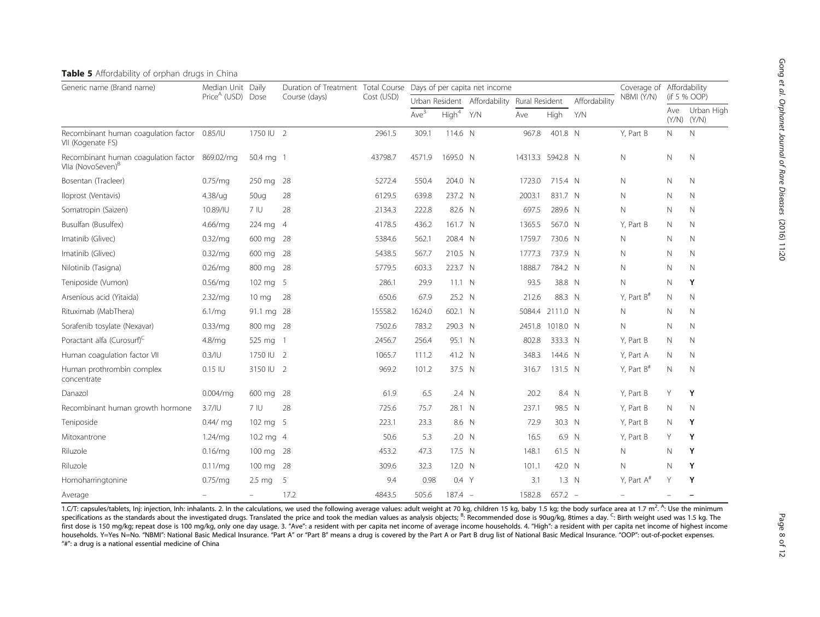## <span id="page-7-0"></span>Table 5 Affordability of orphan drugs in China

| Generic name (Brand name)                                             | Median Unit Daily<br>Price <sup>A</sup> (USD) | Dose              | Duration of Treatment Total Course<br>Course (days) | Cost (USD) | Days of per capita net income |             |                                             |        |                  |               | Coverage of Affordability |              |                     |  |
|-----------------------------------------------------------------------|-----------------------------------------------|-------------------|-----------------------------------------------------|------------|-------------------------------|-------------|---------------------------------------------|--------|------------------|---------------|---------------------------|--------------|---------------------|--|
|                                                                       |                                               |                   |                                                     |            |                               |             | Urban Resident Affordability Rural Resident |        |                  | Affordability | NBMI (Y/N)                | (if 5 % OOP) |                     |  |
|                                                                       |                                               |                   |                                                     |            | Ave <sup>3</sup>              | $High4$ Y/N |                                             | Ave    | High             | Y/N           |                           | Ave<br>(Y/N) | Urban High<br>(Y/N) |  |
| Recombinant human coagulation factor<br>VII (Kogenate FS)             | 0.85/IU                                       | 1750 IU 2         |                                                     | 2961.5     | 309.1                         | 114.6 N     |                                             | 967.8  | 401.8 N          |               | Y, Part B                 | N.           | $\mathbb N$         |  |
| Recombinant human coagulation factor<br>Vlla (NovoSeven) <sup>B</sup> | 869.02/mg                                     | 50.4 mg           |                                                     | 43798.7    | 4571.9                        | 1695.0 N    |                                             |        | 14313.3 5942.8 N |               | N.                        | N            | $\mathbb N$         |  |
| Bosentan (Tracleer)                                                   | 0.75/mq                                       | 250 mg            | 28                                                  | 5272.4     | 550.4                         | 204.0 N     |                                             | 1723.0 | 715.4 N          |               | N.                        | N            | $\mathbb N$         |  |
| Iloprost (Ventavis)                                                   | $4.38/$ uq                                    | 50ug              | 28                                                  | 6129.5     | 639.8                         | 237.2 N     |                                             | 2003.1 | 831.7 N          |               | N.                        | $\mathbb N$  | N                   |  |
| Somatropin (Saizen)                                                   | 10.89/IU                                      | 7 IU              | 28                                                  | 2134.3     | 222.8                         | 82.6 N      |                                             | 697.5  | 289.6 N          |               | N.                        | N            | N                   |  |
| Busulfan (Busulfex)                                                   | 4.66/mq                                       | 224 mg            | $\overline{4}$                                      | 4178.5     | 436.2                         | 161.7 N     |                                             | 1365.5 | 567.0 N          |               | Y, Part B                 | $\mathbb N$  | N                   |  |
| Imatinib (Glivec)                                                     | 0.32/mq                                       | 600 mg            | -28                                                 | 5384.6     | 562.1                         | 208.4 N     |                                             | 1759.7 | 730.6 N          |               | N                         | N            | N                   |  |
| Imatinib (Glivec)                                                     | 0.32/mq                                       | 600 mg            | 28                                                  | 5438.5     | 567.7                         | 210.5 N     |                                             | 1777.3 | 737.9 N          |               | N                         | $\mathbb N$  | N                   |  |
| Nilotinib (Tasigna)                                                   | 0.26/mq                                       | 800 mg            | -28                                                 | 5779.5     | 603.3                         | 223.7 N     |                                             | 1888.7 | 784.2 N          |               | N.                        | $\mathbb N$  | N                   |  |
| Teniposide (Vumon)                                                    | 0.56/mq                                       | $102 \text{ mg}$  | -5                                                  | 286.1      | 29.9                          | 11.1 N      |                                             | 93.5   | 38.8 N           |               | N.                        | $\mathbb N$  | Y                   |  |
| Arsenious acid (Yitaida)                                              | 2.32/mq                                       | $10 \text{ mg}$   | 28                                                  | 650.6      | 67.9                          | 25.2 N      |                                             | 212.6  | 88.3 N           |               | $Y$ , Part $B^*$          | $\mathbb N$  | N                   |  |
| Rituximab (MabThera)                                                  | 6.1/mq                                        | 91.1 mg 28        |                                                     | 15558.2    | 1624.0                        | 602.1 N     |                                             |        | 5084.4 2111.0 N  |               | N                         | N            | N.                  |  |
| Sorafenib tosylate (Nexavar)                                          | 0.33/mq                                       | 800 mg            | 28                                                  | 7502.6     | 783.2                         | 290.3 N     |                                             | 2451.8 | 1018.0 N         |               | N                         | N            | N.                  |  |
| Poractant alfa (Curosurf) <sup>C</sup>                                | 4.8/mq                                        | 525 mg            |                                                     | 2456.7     | 256.4                         | 95.1 N      |                                             | 802.8  | 333.3 N          |               | Y, Part B                 | $\mathbb N$  | N                   |  |
| Human coagulation factor VII                                          | $0.3/1$ U                                     | 1750 IU           | 2                                                   | 1065.7     | 111.2                         | 41.2 N      |                                             | 348.3  | 144.6 N          |               | Y, Part A                 | N            | N                   |  |
| Human prothrombin complex<br>concentrate                              | $0.15$ IU                                     | 3150 IU           | -2                                                  | 969.2      | 101.2                         | 37.5 N      |                                             | 316.7  | 131.5 N          |               | $Y$ , Part $B^*$          | $\mathbb N$  | N                   |  |
| Danazol                                                               | 0.004/mq                                      | 600 mg            | 28                                                  | 61.9       | 6.5                           | 2.4 N       |                                             | 20.2   | 8.4 N            |               | Y, Part B                 | Y            | Y                   |  |
| Recombinant human growth hormone                                      | $3.7/1$ U                                     | 7 IU              | 28                                                  | 725.6      | 75.7                          | 28.1 N      |                                             | 237.1  | 98.5 N           |               | Y, Part B                 | N            | N                   |  |
| Teniposide                                                            | $0.44/$ mg                                    | $102 \text{ mg}$  | -5                                                  | 223.1      | 23.3                          | 8.6 N       |                                             | 72.9   | 30.3 N           |               | Y, Part B                 | N            | Y                   |  |
| Mitoxantrone                                                          | 1.24/mq                                       | $10.2 \text{ mg}$ | $\overline{4}$                                      | 50.6       | 5.3                           | 2.0 N       |                                             | 16.5   | 6.9 N            |               | Y, Part B                 | Y            | Y                   |  |
| Riluzole                                                              | 0.16/mq                                       | 100 mg            | 28                                                  | 453.2      | 47.3                          | 17.5 N      |                                             | 148.1  | 61.5 N           |               | Ν                         | N            | Y                   |  |
| Riluzole                                                              | 0.11/mq                                       | 100 mg            | 28                                                  | 309.6      | 32.3                          | 12.0 N      |                                             | 101.1  | 42.0 N           |               | N                         | $\mathbb N$  | Y                   |  |
| Homoharringtonine                                                     | 0.75/mq                                       | $2.5 \text{ mg}$  | 5                                                   | 9.4        | 0.98                          | 0.4 Y       |                                             | 3.1    | 1.3 N            |               | Y, Part $A^*$             | Υ            | Y                   |  |
| Average                                                               | $\overline{\phantom{0}}$                      | $=$               | 17.2                                                | 4843.5     | 505.6                         | $187.4 -$   |                                             | 1582.8 | $657.2 -$        |               |                           |              |                     |  |

1.C/T: capsules/tablets, Inj: injection, Inh: inhalants. 2. In the calculations, we used the following average values: adult weight at 70 kg, children 15 kg, baby 1.5 kg; the body surface area at 1.7 m<sup>2</sup>. A: Use the minim specifications as the standards about the investigated drugs. Translated the price and took the median values as analysis objects; <sup>B</sup>: Recommended dose is 90ug/kg, 8times a day. <sup>C</sup>: Birth weight used was 1.5 kg. The first dose is 150 mg/kg; repeat dose is 100 mg/kg, only one day usage. 3. "Ave": a resident with per capita net income of average income households. 4. "High": a resident with per capita net income of highest income households. Y=Yes N=No. "NBMI": National Basic Medical Insurance. "Part A" or "Part B" means a drug is covered by the Part A or Part B drug list of National Basic Medical Insurance. "OOP": out-of-pocket expenses. "#": a drug is a national essential medicine of China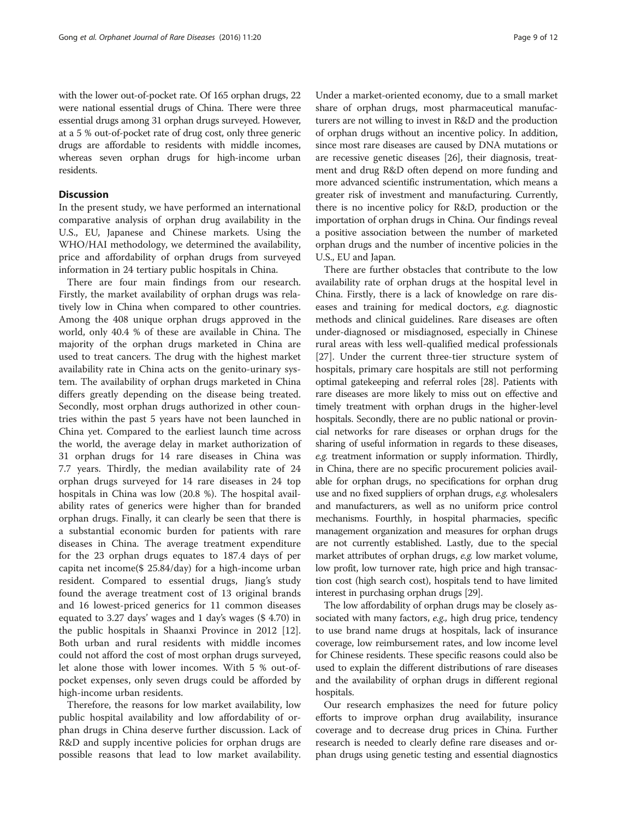with the lower out-of-pocket rate. Of 165 orphan drugs, 22 were national essential drugs of China. There were three essential drugs among 31 orphan drugs surveyed. However, at a 5 % out-of-pocket rate of drug cost, only three generic drugs are affordable to residents with middle incomes, whereas seven orphan drugs for high-income urban residents.

#### Discussion

In the present study, we have performed an international comparative analysis of orphan drug availability in the U.S., EU, Japanese and Chinese markets. Using the WHO/HAI methodology, we determined the availability, price and affordability of orphan drugs from surveyed information in 24 tertiary public hospitals in China.

There are four main findings from our research. Firstly, the market availability of orphan drugs was relatively low in China when compared to other countries. Among the 408 unique orphan drugs approved in the world, only 40.4 % of these are available in China. The majority of the orphan drugs marketed in China are used to treat cancers. The drug with the highest market availability rate in China acts on the genito-urinary system. The availability of orphan drugs marketed in China differs greatly depending on the disease being treated. Secondly, most orphan drugs authorized in other countries within the past 5 years have not been launched in China yet. Compared to the earliest launch time across the world, the average delay in market authorization of 31 orphan drugs for 14 rare diseases in China was 7.7 years. Thirdly, the median availability rate of 24 orphan drugs surveyed for 14 rare diseases in 24 top hospitals in China was low (20.8 %). The hospital availability rates of generics were higher than for branded orphan drugs. Finally, it can clearly be seen that there is a substantial economic burden for patients with rare diseases in China. The average treatment expenditure for the 23 orphan drugs equates to 187.4 days of per capita net income(\$ 25.84/day) for a high-income urban resident. Compared to essential drugs, Jiang's study found the average treatment cost of 13 original brands and 16 lowest-priced generics for 11 common diseases equated to 3.27 days' wages and 1 day's wages (\$ 4.70) in the public hospitals in Shaanxi Province in 2012 [\[12](#page-10-0)]. Both urban and rural residents with middle incomes could not afford the cost of most orphan drugs surveyed, let alone those with lower incomes. With 5 % out-ofpocket expenses, only seven drugs could be afforded by high-income urban residents.

Therefore, the reasons for low market availability, low public hospital availability and low affordability of orphan drugs in China deserve further discussion. Lack of R&D and supply incentive policies for orphan drugs are possible reasons that lead to low market availability.

Under a market-oriented economy, due to a small market share of orphan drugs, most pharmaceutical manufacturers are not willing to invest in R&D and the production of orphan drugs without an incentive policy. In addition, since most rare diseases are caused by DNA mutations or are recessive genetic diseases [[26\]](#page--1-0), their diagnosis, treatment and drug R&D often depend on more funding and more advanced scientific instrumentation, which means a greater risk of investment and manufacturing. Currently, there is no incentive policy for R&D, production or the importation of orphan drugs in China. Our findings reveal a positive association between the number of marketed orphan drugs and the number of incentive policies in the U.S., EU and Japan.

There are further obstacles that contribute to the low availability rate of orphan drugs at the hospital level in China. Firstly, there is a lack of knowledge on rare diseases and training for medical doctors, e.g. diagnostic methods and clinical guidelines. Rare diseases are often under-diagnosed or misdiagnosed, especially in Chinese rural areas with less well-qualified medical professionals [[27\]](#page--1-0). Under the current three-tier structure system of hospitals, primary care hospitals are still not performing optimal gatekeeping and referral roles [\[28\]](#page--1-0). Patients with rare diseases are more likely to miss out on effective and timely treatment with orphan drugs in the higher-level hospitals. Secondly, there are no public national or provincial networks for rare diseases or orphan drugs for the sharing of useful information in regards to these diseases, e.g. treatment information or supply information. Thirdly, in China, there are no specific procurement policies available for orphan drugs, no specifications for orphan drug use and no fixed suppliers of orphan drugs, e.g. wholesalers and manufacturers, as well as no uniform price control mechanisms. Fourthly, in hospital pharmacies, specific management organization and measures for orphan drugs are not currently established. Lastly, due to the special market attributes of orphan drugs, e.g. low market volume, low profit, low turnover rate, high price and high transaction cost (high search cost), hospitals tend to have limited interest in purchasing orphan drugs [[29](#page--1-0)].

The low affordability of orphan drugs may be closely associated with many factors, e.g., high drug price, tendency to use brand name drugs at hospitals, lack of insurance coverage, low reimbursement rates, and low income level for Chinese residents. These specific reasons could also be used to explain the different distributions of rare diseases and the availability of orphan drugs in different regional hospitals.

Our research emphasizes the need for future policy efforts to improve orphan drug availability, insurance coverage and to decrease drug prices in China. Further research is needed to clearly define rare diseases and orphan drugs using genetic testing and essential diagnostics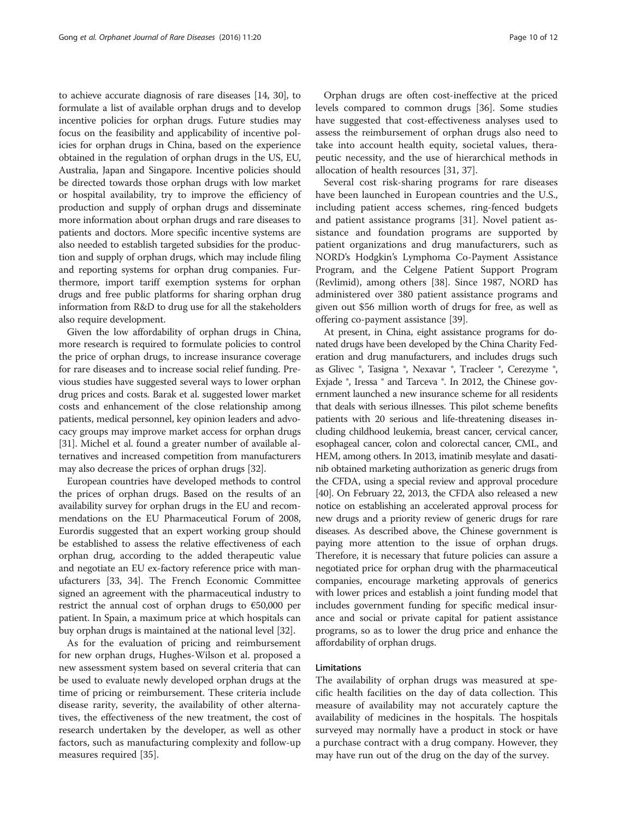to achieve accurate diagnosis of rare diseases [[14](#page-10-0), [30\]](#page--1-0), to formulate a list of available orphan drugs and to develop incentive policies for orphan drugs. Future studies may focus on the feasibility and applicability of incentive policies for orphan drugs in China, based on the experience obtained in the regulation of orphan drugs in the US, EU, Australia, Japan and Singapore. Incentive policies should be directed towards those orphan drugs with low market or hospital availability, try to improve the efficiency of production and supply of orphan drugs and disseminate more information about orphan drugs and rare diseases to patients and doctors. More specific incentive systems are also needed to establish targeted subsidies for the production and supply of orphan drugs, which may include filing and reporting systems for orphan drug companies. Furthermore, import tariff exemption systems for orphan drugs and free public platforms for sharing orphan drug information from R&D to drug use for all the stakeholders also require development.

Given the low affordability of orphan drugs in China, more research is required to formulate policies to control the price of orphan drugs, to increase insurance coverage for rare diseases and to increase social relief funding. Previous studies have suggested several ways to lower orphan drug prices and costs. Barak et al. suggested lower market costs and enhancement of the close relationship among patients, medical personnel, key opinion leaders and advocacy groups may improve market access for orphan drugs [[31](#page--1-0)]. Michel et al. found a greater number of available alternatives and increased competition from manufacturers may also decrease the prices of orphan drugs [\[32\]](#page--1-0).

European countries have developed methods to control the prices of orphan drugs. Based on the results of an availability survey for orphan drugs in the EU and recommendations on the EU Pharmaceutical Forum of 2008, Eurordis suggested that an expert working group should be established to assess the relative effectiveness of each orphan drug, according to the added therapeutic value and negotiate an EU ex-factory reference price with manufacturers [[33](#page--1-0), [34\]](#page--1-0). The French Economic Committee signed an agreement with the pharmaceutical industry to restrict the annual cost of orphan drugs to €50,000 per patient. In Spain, a maximum price at which hospitals can buy orphan drugs is maintained at the national level [\[32\]](#page--1-0).

As for the evaluation of pricing and reimbursement for new orphan drugs, Hughes-Wilson et al. proposed a new assessment system based on several criteria that can be used to evaluate newly developed orphan drugs at the time of pricing or reimbursement. These criteria include disease rarity, severity, the availability of other alternatives, the effectiveness of the new treatment, the cost of research undertaken by the developer, as well as other factors, such as manufacturing complexity and follow-up measures required [\[35](#page--1-0)].

Orphan drugs are often cost-ineffective at the priced levels compared to common drugs [[36\]](#page--1-0). Some studies have suggested that cost-effectiveness analyses used to assess the reimbursement of orphan drugs also need to take into account health equity, societal values, therapeutic necessity, and the use of hierarchical methods in allocation of health resources [\[31](#page--1-0), [37\]](#page--1-0).

Several cost risk-sharing programs for rare diseases have been launched in European countries and the U.S., including patient access schemes, ring-fenced budgets and patient assistance programs [[31\]](#page--1-0). Novel patient assistance and foundation programs are supported by patient organizations and drug manufacturers, such as NORD's Hodgkin's Lymphoma Co-Payment Assistance Program, and the Celgene Patient Support Program (Revlimid), among others [[38](#page--1-0)]. Since 1987, NORD has administered over 380 patient assistance programs and given out \$56 million worth of drugs for free, as well as offering co-payment assistance [[39\]](#page--1-0).

At present, in China, eight assistance programs for donated drugs have been developed by the China Charity Federation and drug manufacturers, and includes drugs such as Glivec ®, Tasigna ®, Nexavar ®, Tracleer ®, Cerezyme ®, Exjade ®, Iressa ® and Tarceva ®. In 2012, the Chinese government launched a new insurance scheme for all residents that deals with serious illnesses. This pilot scheme benefits patients with 20 serious and life-threatening diseases including childhood leukemia, breast cancer, cervical cancer, esophageal cancer, colon and colorectal cancer, CML, and HEM, among others. In 2013, imatinib mesylate and dasatinib obtained marketing authorization as generic drugs from the CFDA, using a special review and approval procedure [[40](#page--1-0)]. On February 22, 2013, the CFDA also released a new notice on establishing an accelerated approval process for new drugs and a priority review of generic drugs for rare diseases. As described above, the Chinese government is paying more attention to the issue of orphan drugs. Therefore, it is necessary that future policies can assure a negotiated price for orphan drug with the pharmaceutical companies, encourage marketing approvals of generics with lower prices and establish a joint funding model that includes government funding for specific medical insurance and social or private capital for patient assistance programs, so as to lower the drug price and enhance the affordability of orphan drugs.

#### Limitations

The availability of orphan drugs was measured at specific health facilities on the day of data collection. This measure of availability may not accurately capture the availability of medicines in the hospitals. The hospitals surveyed may normally have a product in stock or have a purchase contract with a drug company. However, they may have run out of the drug on the day of the survey.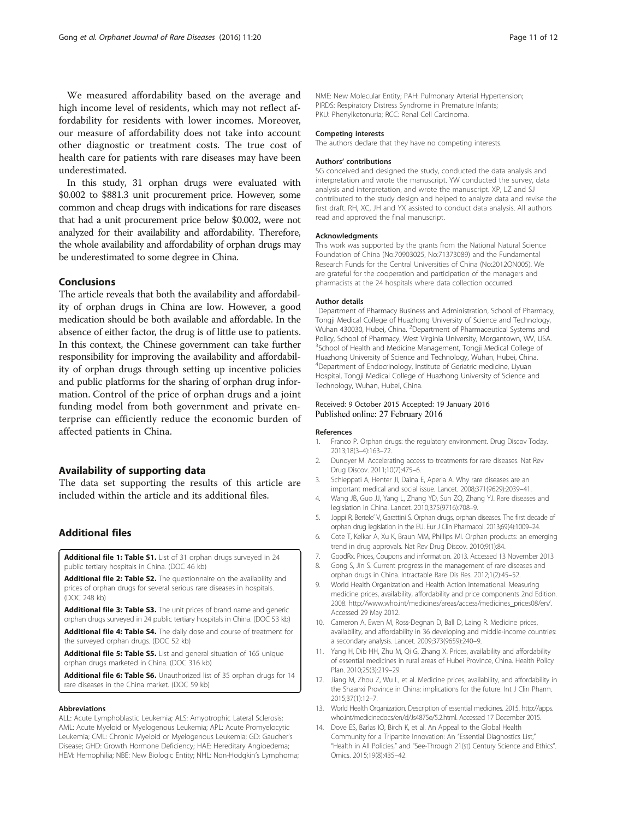<span id="page-10-0"></span>We measured affordability based on the average and high income level of residents, which may not reflect affordability for residents with lower incomes. Moreover, our measure of affordability does not take into account other diagnostic or treatment costs. The true cost of health care for patients with rare diseases may have been underestimated.

In this study, 31 orphan drugs were evaluated with \$0.002 to \$881.3 unit procurement price. However, some common and cheap drugs with indications for rare diseases that had a unit procurement price below \$0.002, were not analyzed for their availability and affordability. Therefore, the whole availability and affordability of orphan drugs may be underestimated to some degree in China.

#### **Conclusions**

The article reveals that both the availability and affordability of orphan drugs in China are low. However, a good medication should be both available and affordable. In the absence of either factor, the drug is of little use to patients. In this context, the Chinese government can take further responsibility for improving the availability and affordability of orphan drugs through setting up incentive policies and public platforms for the sharing of orphan drug information. Control of the price of orphan drugs and a joint funding model from both government and private enterprise can efficiently reduce the economic burden of affected patients in China.

#### Availability of supporting data

The data set supporting the results of this article are included within the article and its additional files.

# Additional files

[Additional file 1: Table S1.](dx.doi.org/10.1186/s13023-016-0392-4) List of 31 orphan drugs surveyed in 24 public tertiary hospitals in China. (DOC 46 kb)

[Additional file 2: Table S2.](dx.doi.org/10.1186/s13023-016-0392-4) The questionnaire on the availability and prices of orphan drugs for several serious rare diseases in hospitals. (DOC 248 kb)

[Additional file 3: Table S3.](dx.doi.org/10.1186/s13023-016-0392-4) The unit prices of brand name and generic orphan drugs surveyed in 24 public tertiary hospitals in China. (DOC 53 kb)

[Additional file 4: Table S4.](dx.doi.org/10.1186/s13023-016-0392-4) The daily dose and course of treatment for the surveyed orphan drugs. (DOC 52 kb)

[Additional file 5: Table S5.](dx.doi.org/10.1186/s13023-016-0392-4) List and general situation of 165 unique orphan drugs marketed in China. (DOC 316 kb)

[Additional file 6: Table S6.](dx.doi.org/10.1186/s13023-016-0392-4) Unauthorized list of 35 orphan drugs for 14 rare diseases in the China market. (DOC 59 kb)

#### Abbreviations

ALL: Acute Lymphoblastic Leukemia; ALS: Amyotrophic Lateral Sclerosis; AML: Acute Myeloid or Myelogenous Leukemia; APL: Acute Promyelocytic Leukemia; CML: Chronic Myeloid or Myelogenous Leukemia; GD: Gaucher's Disease; GHD: Growth Hormone Deficiency; HAE: Hereditary Angioedema; HEM: Hemophilia; NBE: New Biologic Entity; NHL: Non-Hodgkin's Lymphoma; NME: New Molecular Entity; PAH: Pulmonary Arterial Hypertension; PIRDS: Respiratory Distress Syndrome in Premature Infants; PKU: Phenylketonuria; RCC: Renal Cell Carcinoma.

#### Competing interests

The authors declare that they have no competing interests.

#### Authors' contributions

SG conceived and designed the study, conducted the data analysis and interpretation and wrote the manuscript. YW conducted the survey, data analysis and interpretation, and wrote the manuscript. XP, LZ and SJ contributed to the study design and helped to analyze data and revise the first draft. RH, XC, JH and YX assisted to conduct data analysis. All authors read and approved the final manuscript.

#### Acknowledgments

This work was supported by the grants from the National Natural Science Foundation of China (No:70903025, No:71373089) and the Fundamental Research Funds for the Central Universities of China (No:2012QN005). We are grateful for the cooperation and participation of the managers and pharmacists at the 24 hospitals where data collection occurred.

#### Author details

<sup>1</sup> Department of Pharmacy Business and Administration, School of Pharmacy Tongji Medical College of Huazhong University of Science and Technology, Wuhan 430030, Hubei, China. <sup>2</sup>Department of Pharmaceutical Systems and Policy, School of Pharmacy, West Virginia University, Morgantown, WV, USA. <sup>3</sup>School of Health and Medicine Management, Tongji Medical College of Huazhong University of Science and Technology, Wuhan, Hubei, China. 4 Department of Endocrinology, Institute of Geriatric medicine, Liyuan Hospital, Tongji Medical College of Huazhong University of Science and Technology, Wuhan, Hubei, China.

#### Received: 9 October 2015 Accepted: 19 January 2016 Published online: 27 February 2016

#### References

- 1. Franco P. Orphan drugs: the regulatory environment. Drug Discov Today. 2013;18(3–4):163–72.
- 2. Dunoyer M. Accelerating access to treatments for rare diseases. Nat Rev Drug Discov. 2011;10(7):475–6.
- 3. Schieppati A, Henter JI, Daina E, Aperia A. Why rare diseases are an important medical and social issue. Lancet. 2008;371(9629):2039–41.
- 4. Wang JB, Guo JJ, Yang L, Zhang YD, Sun ZQ, Zhang YJ. Rare diseases and legislation in China. Lancet. 2010;375(9716):708–9.
- 5. Joppi R, Bertele' V, Garattini S. Orphan drugs, orphan diseases. The first decade of orphan drug legislation in the EU. Eur J Clin Pharmacol. 2013;69(4):1009–24.
- 6. Cote T, Kelkar A, Xu K, Braun MM, Phillips MI. Orphan products: an emerging trend in drug approvals. Nat Rev Drug Discov. 2010;9(1):84.
- 7. GoodRx. Prices, Coupons and information. 2013. Accessed 13 November 2013
- 8. Gong S, Jin S. Current progress in the management of rare diseases and orphan drugs in China. Intractable Rare Dis Res. 2012;1(2):45–52.
- 9. World Health Organization and Health Action International. Measuring medicine prices, availability, affordability and price components 2nd Edition. 2008. [http://www.who.int/medicines/areas/access/medicines\\_prices08/en/.](http://www.who.int/medicines/areas/access/medicines_prices08/en/) Accessed 29 May 2012.
- 10. Cameron A, Ewen M, Ross-Degnan D, Ball D, Laing R. Medicine prices, availability, and affordability in 36 developing and middle-income countries: a secondary analysis. Lancet. 2009;373(9659):240–9.
- 11. Yang H, Dib HH, Zhu M, Qi G, Zhang X. Prices, availability and affordability of essential medicines in rural areas of Hubei Province, China. Health Policy Plan. 2010;25(3):219–29.
- 12. Jiang M, Zhou Z, Wu L, et al. Medicine prices, availability, and affordability in the Shaanxi Province in China: implications for the future. Int J Clin Pharm. 2015;37(1):12–7.
- 13. World Health Organization. Description of essential medicines. 2015. [http://apps.](http://apps.who.int/medicinedocs/en/d/Js4875e/5.2.html) [who.int/medicinedocs/en/d/Js4875e/5.2.html.](http://apps.who.int/medicinedocs/en/d/Js4875e/5.2.html) Accessed 17 December 2015.
- 14. Dove ES, Barlas IO, Birch K, et al. An Appeal to the Global Health Community for a Tripartite Innovation: An "Essential Diagnostics List," "Health in All Policies," and "See-Through 21(st) Century Science and Ethics". Omics. 2015;19(8):435–42.